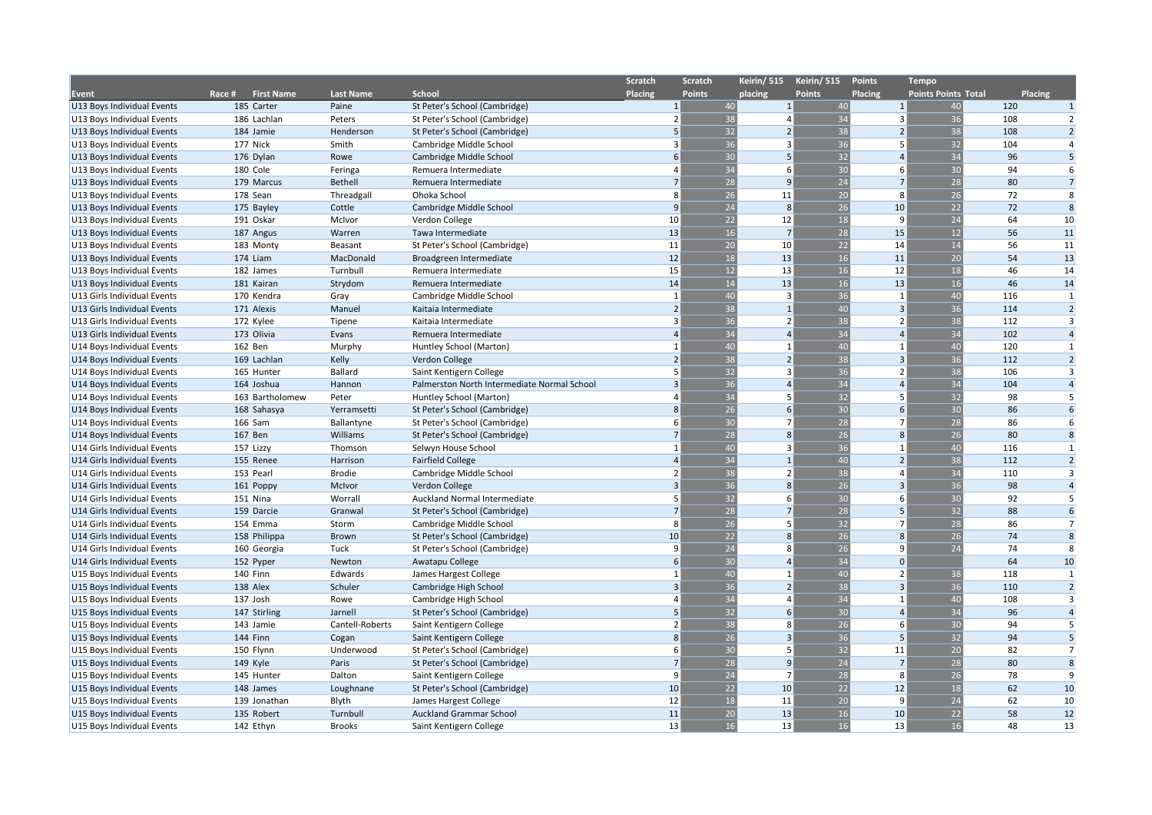|                             |                             |                 |                                             | Scratch        | <b>Scratch</b>  | Keirin/ 515    | Keirin/ 515                 | <b>Points</b>  | <b>Tempo</b>               |                |                |
|-----------------------------|-----------------------------|-----------------|---------------------------------------------|----------------|-----------------|----------------|-----------------------------|----------------|----------------------------|----------------|----------------|
| <b>Event</b>                | Race #<br><b>First Name</b> | Last Name       | School                                      | <b>Placing</b> | <b>Points</b>   | placing        | <b>Points</b>               | Placing        | <b>Points Points Total</b> | <b>Placing</b> |                |
| U13 Boys Individual Events  | 185 Carter                  | Paine           | St Peter's School (Cambridge)               | $\mathbf{1}$   | 40              |                | $\mathbf{1}$<br>40          | $\mathbf{1}$   | 40                         | 120            | $\mathbf{1}$   |
| U13 Boys Individual Events  | 186 Lachlan                 | Peters          | St Peter's School (Cambridge)               | $\overline{z}$ | $\overline{38}$ |                | $\overline{34}$<br>$\Delta$ | 3              | 36                         | 108            | 2              |
| U13 Boys Individual Events  | 184 Jamie                   | Henderson       | St Peter's School (Cambridge)               | 5              | 32              |                | 38<br>$\overline{2}$        |                | 38                         | 108            | $\overline{2}$ |
| U13 Boys Individual Events  | 177 Nick                    | Smith           | Cambridge Middle School                     | $\overline{3}$ | 36              |                | 36<br>$\overline{3}$        | 5              | 32                         | 104            | $\overline{4}$ |
| U13 Boys Individual Events  | 176 Dylan                   | Rowe            | Cambridge Middle School                     | 6              | 30              |                | 32<br>5                     | $\overline{a}$ | 34                         | 96             | 5              |
| U13 Boys Individual Events  | 180 Cole                    | Feringa         | Remuera Intermediate                        | $\overline{a}$ | 34              |                | 30<br>6                     | 6              | 30                         | 94             | 6              |
| U13 Boys Individual Events  | 179 Marcus                  | Bethell         | Remuera Intermediate                        | $\overline{7}$ | 28              |                | 24<br>q                     | $\overline{7}$ | 28                         | 80             | $\overline{7}$ |
| U13 Boys Individual Events  | 178 Sean                    | Threadgall      | Ohoka School                                | 8              | 26              | 11             | 20                          | 8              | 26                         | 72             | 8              |
| U13 Boys Individual Events  | 175 Bayley                  | Cottle          | Cambridge Middle School                     | 9              | 24              |                | 26<br>8                     | 10             | 22                         | 72             | 8              |
| U13 Boys Individual Events  | 191 Oskar                   | McIvor          | Verdon College                              | 10             | 22              | 12             | 18                          | 9              | 24                         | 64             | 10             |
| U13 Boys Individual Events  | 187 Angus                   | Warren          | Tawa Intermediate                           | 13             | 16              | $\overline{7}$ | 28                          | 15             | 12                         | 56             | 11             |
| U13 Boys Individual Events  | 183 Monty                   | Beasant         | St Peter's School (Cambridge)               | 11             | 20              | 10             | 22                          | 14             | 14                         | 56             | 11             |
| U13 Boys Individual Events  | 174 Liam                    | MacDonald       | Broadgreen Intermediate                     | 12             | 18              | 13             | 16                          | 11             | 20                         | 54             | 13             |
| U13 Boys Individual Events  | 182 James                   | Turnbull        | Remuera Intermediate                        | 15             | 12              | 13             | 16                          | 12             | 18                         | 46             | 14             |
| U13 Boys Individual Events  | 181 Kairan                  | Strydom         | Remuera Intermediate                        | 14             | 14              | 13             | 16                          | 13             | 16                         | 46             | 14             |
| U13 Girls Individual Events | 170 Kendra                  | Gray            | Cambridge Middle School                     | $\mathbf{1}$   | 40              |                | 36<br>$\overline{3}$        | $\overline{1}$ | 40                         | 116            | 1              |
| U13 Girls Individual Events | 171 Alexis                  | Manuel          | Kaitaia Intermediate                        | $\overline{2}$ | 38              | $\overline{1}$ | 40                          | $\overline{3}$ | 36                         | 114            | $\overline{2}$ |
| U13 Girls Individual Events | 172 Kylee                   | Tipene          | Kaitaia Intermediate                        | 3              | 36              |                | 38<br>$\overline{2}$        | $\overline{2}$ | 38                         | 112            | 3              |
| U13 Girls Individual Events | 173 Olivia                  | Evans           | Remuera Intermediate                        | $\Delta$       | 34              |                | 34<br>$\Delta$              | $\Delta$       | 34                         | 102            | $\overline{4}$ |
| U14 Boys Individual Events  | 162 Ben                     | Murphy          | Huntley School (Marton)                     |                | 40              | $\overline{1}$ | 40                          | $\mathbf{1}$   | 40                         | 120            | $\mathbf{1}$   |
| U14 Boys Individual Events  | 169 Lachlan                 | Kelly           | Verdon College                              | $\overline{2}$ | 38              |                | 38<br>$\overline{2}$        | 3              | 36                         | 112            | $\overline{2}$ |
| U14 Boys Individual Events  | 165 Hunter                  | Ballard         | Saint Kentigern College                     | .5             | 32              |                | 36<br>3                     | $\mathcal{P}$  | 38                         | 106            | 3              |
| U14 Boys Individual Events  | 164 Joshua                  | Hannon          | Palmerston North Intermediate Normal School | $\overline{3}$ | 36              |                | 34<br>$\overline{a}$        | $\overline{a}$ | 34                         | 104            | $\overline{4}$ |
| U14 Boys Individual Events  | 163 Bartholomew             | Peter           | Huntley School (Marton)                     | $\overline{a}$ | 34              |                | 32<br>5                     | 5              | 32                         | 98             | 5              |
| U14 Boys Individual Events  | 168 Sahasya                 | Yerramsetti     | St Peter's School (Cambridge)               | 8              | 26              |                | 30<br>6                     | 6              | 30                         | 86             | 6              |
| U14 Boys Individual Events  | 166 Sam                     | Ballantyne      | St Peter's School (Cambridge)               | 6              | 30              |                | 28<br>$\overline{7}$        | $\overline{7}$ | 28                         | 86             | 6              |
| U14 Boys Individual Events  | 167 Ben                     | Williams        | St Peter's School (Cambridge)               | $\overline{7}$ | 28              |                | 26<br>$\mathbf{8}$          | 8              | 26                         | 80             | $\mathbf{R}$   |
| U14 Girls Individual Events | 157 Lizzy                   | Thomson         | Selwyn House School                         |                | 40              |                | 36<br>3                     | $\overline{1}$ | 40                         | 116            | 1              |
| U14 Girls Individual Events | 155 Renee                   | Harrison        | <b>Fairfield College</b>                    | $\overline{4}$ | 34              |                | 40<br>$\mathbf{1}$          | $\overline{2}$ | 38                         | 112            | $\overline{2}$ |
| U14 Girls Individual Events | 153 Pearl                   | <b>Brodie</b>   | Cambridge Middle School                     | $\overline{2}$ | 38              |                | 38<br>$\overline{2}$        | $\Delta$       | 34                         | 110            | $\overline{3}$ |
| U14 Girls Individual Events | 161 Poppy                   | McIvor          | Verdon College                              | $\overline{3}$ | 36              |                | 26<br>8                     | 3              | 36                         | 98             | $\overline{4}$ |
| U14 Girls Individual Events | 151 Nina                    | Worrall         | Auckland Normal Intermediate                | .5             | 32              |                | 30<br>6                     | 6              | 30                         | 92             | 5              |
| U14 Girls Individual Events | 159 Darcie                  | Granwal         | St Peter's School (Cambridge)               | $\overline{7}$ | 28              |                | 28<br>$\overline{7}$        | 5              | 32                         | 88             | 6              |
| U14 Girls Individual Events | 154 Emma                    | Storm           | Cambridge Middle School                     | 8              | 26              |                | 32<br>5                     | $\overline{7}$ | 28                         | 86             | $\overline{7}$ |
| U14 Girls Individual Events | 158 Philippa                | Brown           | St Peter's School (Cambridge)               | 10             | 22              |                | 26<br>8                     | 8              | 26                         | 74             | 8              |
| U14 Girls Individual Events | 160 Georgia                 | Tuck            | St Peter's School (Cambridge)               | q              | 24              |                | 26<br>8                     | 9              | 24                         | 74             | 8              |
| U14 Girls Individual Events | 152 Pyper                   | Newton          | Awatapu College                             | 6              | 30              |                | 34<br>4                     | $\Omega$       |                            | 64             | 10             |
| U15 Boys Individual Events  | 140 Finn                    | Edwards         | James Hargest College                       |                | 40              |                | 40<br>$\mathbf{1}$          | $\overline{2}$ | 38                         | 118            | $\mathbf{1}$   |
| U15 Boys Individual Events  | 138 Alex                    | Schuler         | Cambridge High School                       | $\overline{3}$ | 36              |                | 38<br>$\overline{2}$        | $\overline{3}$ | 36                         | 110            | $\overline{2}$ |
| U15 Boys Individual Events  | 137 Josh                    | Rowe            | Cambridge High School                       | $\overline{a}$ | 34              |                | 34<br>$\Delta$              | $\mathbf{1}$   | 40                         | 108            | $\overline{3}$ |
| U15 Boys Individual Events  | 147 Stirling                | Jarnell         | St Peter's School (Cambridge)               | 5              | 32              |                | 30<br>6                     | $\overline{A}$ | 34                         | 96             | $\overline{4}$ |
| U15 Boys Individual Events  | 143 Jamie                   | Cantell-Roberts | Saint Kentigern College                     | $\overline{2}$ | $\overline{38}$ |                | 26<br>8                     | 6              | 30                         | 94             | 5              |
| U15 Boys Individual Events  | 144 Finn                    | Cogan           | Saint Kentigern College                     | 8              | 26              |                | 36<br>$\overline{3}$        | 5              | 32                         | 94             | 5              |
| U15 Boys Individual Events  | 150 Flynn                   | Underwood       | St Peter's School (Cambridge)               | 6              | 30              |                | 32<br>5                     | 11             | 20                         | 82             | $\overline{7}$ |
| U15 Boys Individual Events  | 149 Kyle                    | Paris           | St Peter's School (Cambridge)               | $\overline{7}$ | 28              |                | 24<br>9                     | $\overline{7}$ | 28                         | 80             | 8              |
| U15 Boys Individual Events  | 145 Hunter                  | Dalton          | Saint Kentigern College                     | 9              | 24              |                | $\overline{7}$<br>28        | 8              | 26                         | 78             | 9              |
| U15 Boys Individual Events  | 148 James                   | Loughnane       | St Peter's School (Cambridge)               | 10             | 22              | 10             | 22                          | 12             | 18                         | 62             | 10             |
| U15 Boys Individual Events  | 139 Jonathan                | Blyth           | James Hargest College                       | 12             | 18              | 11             | 20                          | 9              | 24                         | 62             | 10             |
| U15 Boys Individual Events  | 135 Robert                  | Turnbull        | Auckland Grammar School                     | 11             | 20              | 13             | 16                          | 10             | 22                         | 58             | 12             |
| U15 Boys Individual Events  | 142 Ethyn                   | <b>Brooks</b>   | Saint Kentigern College                     | 13             | 16              | 13             | 16                          | 13             | 16                         | 48             | 13             |
|                             |                             |                 |                                             |                |                 |                |                             |                |                            |                |                |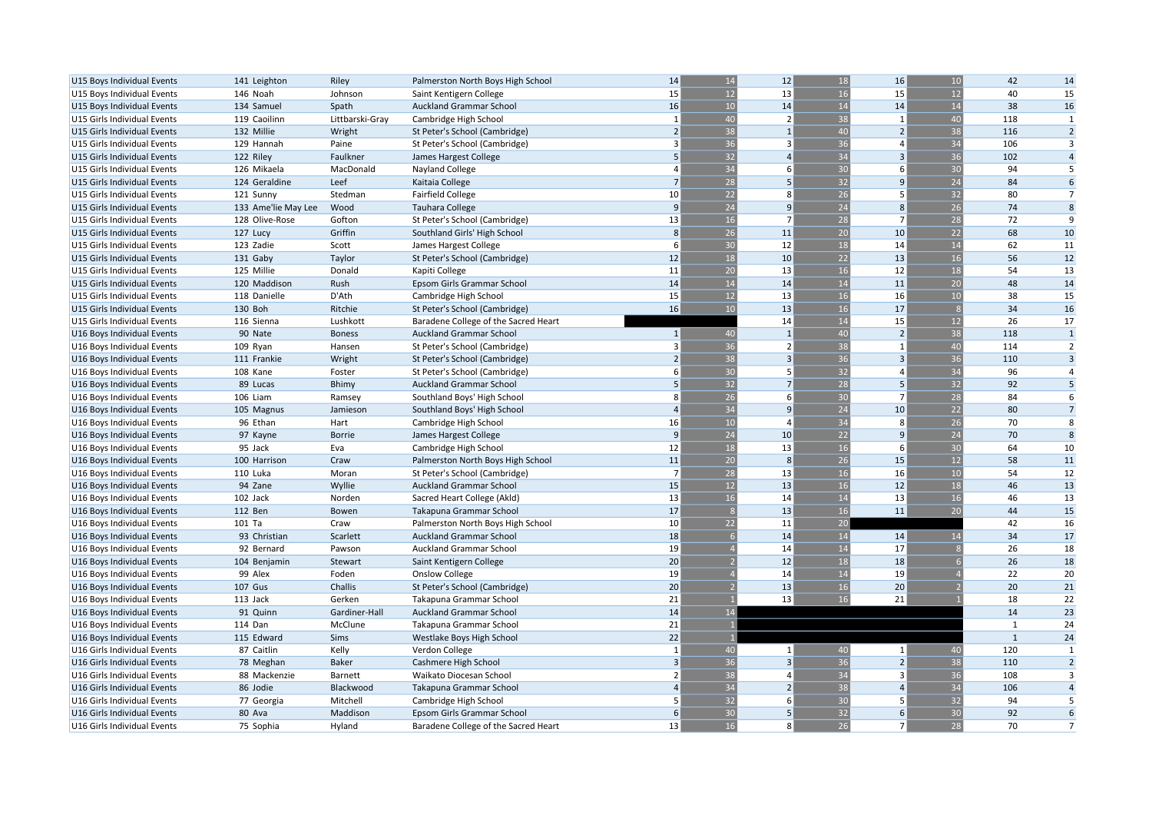| U15 Boys Individual Events  | 141 Leighton        | Riley           | Palmerston North Boys High School    | 14             | 14              | 12             | 18       | 16             | 10 | 42           | 14             |
|-----------------------------|---------------------|-----------------|--------------------------------------|----------------|-----------------|----------------|----------|----------------|----|--------------|----------------|
| U15 Boys Individual Events  | 146 Noah            | Johnson         | Saint Kentigern College              | 15             | 12              | 13             | 16       | 15             | 12 | 40           | 15             |
| U15 Boys Individual Events  | 134 Samuel          | Spath           | <b>Auckland Grammar School</b>       | 16             | 10              | 14             | 14       | 14             | 14 | 38           | 16             |
| U15 Girls Individual Events | 119 Caoilinn        | Littbarski-Gray | Cambridge High School                | $\mathbf{1}$   | 40              | $\overline{2}$ | 38       | $\overline{1}$ | 40 | 118          | 1              |
| U15 Girls Individual Events | 132 Millie          | Wright          | St Peter's School (Cambridge)        | $\overline{2}$ | 38              | $\mathbf{1}$   | 40       | $\overline{2}$ | 38 | 116          | $\overline{2}$ |
| U15 Girls Individual Events | 129 Hannah          | Paine           | St Peter's School (Cambridge)        | 3              | 36              | $\overline{3}$ | 36       | 4              | 34 | 106          | 3              |
| U15 Girls Individual Events | 122 Riley           | Faulkner        | James Hargest College                | 5              | 32              | $\Delta$       | 34       | $\overline{3}$ | 36 | 102          | $\overline{4}$ |
| U15 Girls Individual Events | 126 Mikaela         | MacDonald       | Nayland College                      |                | 34              | 6              | 30       | 6              | 30 | 94           | 5              |
| U15 Girls Individual Events | 124 Geraldine       | Leef            | Kaitaia College                      |                | 28              | 5              | 32       | $\mathbf{q}$   | 24 | 84           | 6              |
| U15 Girls Individual Events | 121 Sunny           | Stedman         | <b>Fairfield College</b>             | 10             | 22              | 8              | 26       | 5              | 32 | 80           | $\overline{7}$ |
| U15 Girls Individual Events | 133 Ame'lie May Lee | Wood            | <b>Tauhara College</b>               | 9              | 24              | $\mathbf{q}$   | 24       | 8              | 26 | 74           | 8              |
| U15 Girls Individual Events | 128 Olive-Rose      | Gofton          | St Peter's School (Cambridge)        | 13             | 16              | $\overline{7}$ | 28       | $\overline{7}$ | 28 | 72           | 9              |
| U15 Girls Individual Events | 127 Lucy            | Griffin         | Southland Girls' High School         | 8              | 26              | 11             | 20       | 10             | 22 | 68           | 10             |
| U15 Girls Individual Events | 123 Zadie           | Scott           | James Hargest College                | 6              | 30              | 12             | 18       | 14             | 14 | 62           | 11             |
| U15 Girls Individual Events | 131 Gaby            | Taylor          | St Peter's School (Cambridge)        | 12             | 18              | 10             | 22       | 13             | 16 | 56           | 12             |
| U15 Girls Individual Events | 125 Millie          | Donald          | Kapiti College                       | 11             | 20              | 13             | 16       | 12             | 18 | 54           | 13             |
| U15 Girls Individual Events | 120 Maddison        | Rush            | Epsom Girls Grammar School           | 14             | $\overline{14}$ | 14             | 14       | 11             | 20 | 48           | 14             |
| U15 Girls Individual Events | 118 Danielle        | D'Ath           | Cambridge High School                | 15             | 12              | 13             | 16       | 16             | 10 | 38           | 15             |
| U15 Girls Individual Events | 130 Boh             | Ritchie         | St Peter's School (Cambridge)        | 16             | 10              | 13             | 16       | 17             |    | 34           | 16             |
| U15 Girls Individual Events | 116 Sienna          | Lushkott        | Baradene College of the Sacred Heart |                |                 | 14             | 14       | 15             | 12 | 26           | 17             |
| U16 Boys Individual Events  | 90 Nate             | <b>Boness</b>   | Auckland Grammar School              | $\mathbf{1}$   | 40              | $\overline{1}$ | 40       | $\overline{2}$ | 38 | 118          | $\mathbf{1}$   |
| U16 Boys Individual Events  | 109 Ryan            | Hansen          | St Peter's School (Cambridge)        |                | 36              | $\overline{2}$ | 38       | $\mathbf{1}$   | 40 | 114          | $\overline{2}$ |
| U16 Boys Individual Events  | 111 Frankie         | Wright          | St Peter's School (Cambridge)        |                | 38              | 3              | 36       | $\overline{3}$ | 36 | 110          | $\overline{3}$ |
| U16 Boys Individual Events  | 108 Kane            | Foster          | St Peter's School (Cambridge)        | 6              | 30              | 5              | 32       | 4              | 34 | 96           | $\overline{a}$ |
| U16 Boys Individual Events  | 89 Lucas            | <b>Bhimy</b>    | Auckland Grammar School              | 5              | 32              | $\overline{7}$ | 28       | 5              | 32 | 92           | 5              |
| U16 Boys Individual Events  | 106 Liam            | Ramsey          | Southland Boys' High School          | 8              | 26              | 6              | 30       | $\overline{7}$ | 28 | 84           | 6              |
| U16 Boys Individual Events  | 105 Magnus          | Jamieson        | Southland Boys' High School          | $\overline{a}$ | 34              | $\mathsf{q}$   | 24       | 10             | 22 | 80           | $\overline{7}$ |
| U16 Boys Individual Events  | 96 Ethan            | Hart            |                                      | 16             | 10              | $\overline{a}$ | 34       | 8              | 26 | 70           | 8              |
|                             | 97 Kayne            | <b>Borrie</b>   | Cambridge High School                | 9              | 24              | 10             | 22       | 9              | 24 | 70           | 8              |
| U16 Boys Individual Events  | 95 Jack             |                 | James Hargest College                | 12             | 18              | 13             | 16       | 6              | 30 | 64           | 10             |
| U16 Boys Individual Events  |                     | Eva             | Cambridge High School                | 11             | 20              | 8              | 26       | 15             | 12 | 58           | 11             |
| U16 Boys Individual Events  | 100 Harrison        | Craw            | Palmerston North Boys High School    | $\overline{7}$ | 28              | 13             | 16       | 16             | 10 | 54           | 12             |
| U16 Boys Individual Events  | 110 Luka            | Moran           | St Peter's School (Cambridge)        | 15             | 12              | 13             | 16       | 12             | 18 | 46           | 13             |
| U16 Boys Individual Events  | 94 Zane             | Wyllie          | <b>Auckland Grammar School</b>       | 13             | 16              | 14             | 14       | 13             | 16 | 46           | 13             |
| U16 Boys Individual Events  | 102 Jack<br>112 Ben | Norden          | Sacred Heart College (Akld)          | 17             |                 | 13             | 16       | 11             | 20 | 44           | 15             |
| U16 Boys Individual Events  |                     | Bowen<br>Craw   | Takapuna Grammar School              | 10             | 22              | 11             | 20       |                |    | 42           | 16             |
| U16 Boys Individual Events  | 101 Ta              |                 | Palmerston North Boys High School    |                |                 |                | 14       |                |    | 34           |                |
| U16 Boys Individual Events  | 93 Christian        | Scarlett        | <b>Auckland Grammar School</b>       | 18<br>19       |                 | 14<br>14       |          | 14<br>17       |    | 26           | 17<br>18       |
| U16 Boys Individual Events  | 92 Bernard          | Pawson          | <b>Auckland Grammar School</b>       |                |                 |                | 14       |                |    |              |                |
| U16 Boys Individual Events  | 104 Benjamin        | Stewart         | Saint Kentigern College              | 20<br>19       |                 | 12<br>14       | 18<br>14 | 18<br>19       |    | 26<br>22     | 18<br>20       |
| U16 Boys Individual Events  | 99 Alex             | Foden           | <b>Onslow College</b>                |                |                 |                |          |                |    |              |                |
| U16 Boys Individual Events  | <b>107 Gus</b>      | Challis         | St Peter's School (Cambridge)        | 20             |                 | 13             | 16       | 20             |    | 20           | 21             |
| U16 Boys Individual Events  | 113 Jack            | Gerken          | Takapuna Grammar School              | 21             |                 | 13             | 16       | 21             |    | 18<br>14     | 22             |
| U16 Boys Individual Events  | 91 Quinn            | Gardiner-Hall   | <b>Auckland Grammar School</b>       | 14             | 14              |                |          |                |    |              | 23             |
| U16 Boys Individual Events  | 114 Dan             | McClune         | Takapuna Grammar School              | 21             |                 |                |          |                |    | $\mathbf{1}$ | 24             |
| U16 Boys Individual Events  | 115 Edward          | Sims            | Westlake Boys High School            | 22             |                 |                |          |                |    | $\mathbf{1}$ | 24             |
| U16 Girls Individual Events | 87 Caitlin          | Kelly           | Verdon College                       |                | 40              | $\mathbf{1}$   | 40       | $\mathbf{1}$   | 40 | 120          | 1              |
| U16 Girls Individual Events | 78 Meghan           | <b>Baker</b>    | Cashmere High School                 | $\overline{3}$ | 36              | $\overline{3}$ | 36       | $\overline{2}$ | 38 | 110          | $\overline{2}$ |
| U16 Girls Individual Events | 88 Mackenzie        | Barnett         | Waikato Diocesan School              | $\overline{2}$ | 38              | 4              | 34       | $\overline{3}$ | 36 | 108          | $\overline{3}$ |
| U16 Girls Individual Events | 86 Jodie            | Blackwood       | Takapuna Grammar School              | $\overline{a}$ | 34              | $\overline{2}$ | 38       | $\overline{4}$ | 34 | 106          | $\overline{4}$ |
| U16 Girls Individual Events | 77 Georgia          | Mitchell        | Cambridge High School                | 5              | 32              | 6              | 30       | 5              | 32 | 94           | 5              |
| U16 Girls Individual Events | 80 Ava              | Maddison        | Epsom Girls Grammar School           | 6              | 30              | 5              | 32       | 6              | 30 | 92           | 6              |
| U16 Girls Individual Events | 75 Sophia           | Hyland          | Baradene College of the Sacred Heart | 13             | 16              | 8              | 26       | $\overline{7}$ | 28 | 70           | $\overline{7}$ |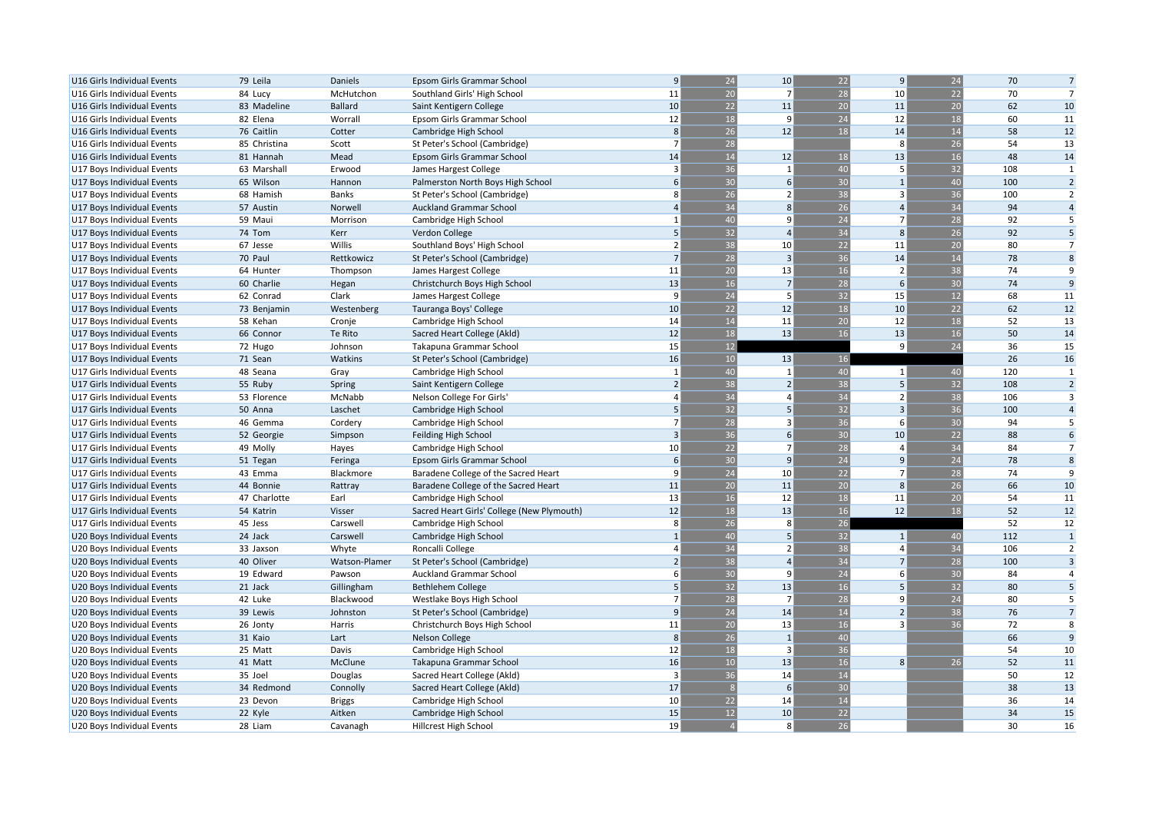| U16 Girls Individual Events | 79 Leila     | Daniels        | Epsom Girls Grammar School                 | 9              | 24              | 10                      | 22              | $\vert 9 \vert$ | 24       | 70  | $\overline{7}$ |
|-----------------------------|--------------|----------------|--------------------------------------------|----------------|-----------------|-------------------------|-----------------|-----------------|----------|-----|----------------|
| U16 Girls Individual Events | 84 Lucy      | McHutchon      | Southland Girls' High School               | 11             | 20              | $\overline{7}$          | 28              | 10              | 22       | 70  | $\overline{7}$ |
| U16 Girls Individual Events | 83 Madeline  | <b>Ballard</b> | Saint Kentigern College                    | 10             | 22              | 11                      | 20              | 11              | 20       | 62  | 10             |
| U16 Girls Individual Events | 82 Elena     | Worrall        | Epsom Girls Grammar School                 | 12             | 18              | 9                       | 24              | 12              | 18       | 60  | 11             |
| U16 Girls Individual Events | 76 Caitlin   | Cotter         | Cambridge High School                      | 8              | 26              | 12                      | 18              | 14              | 14       | 58  | 12             |
| U16 Girls Individual Events | 85 Christina | Scott          | St Peter's School (Cambridge)              | $\overline{7}$ | 28              |                         |                 | 8               | 26       | 54  | 13             |
| U16 Girls Individual Events | 81 Hannah    | Mead           | Epsom Girls Grammar School                 | 14             | 14              | 12                      | 18              | 13              | 16       | 48  | 14             |
| U17 Boys Individual Events  | 63 Marshall  | Erwood         | James Hargest College                      | $\overline{3}$ | 36              | $\overline{1}$          | 40              | 5               | 32       | 108 | 1              |
| U17 Boys Individual Events  | 65 Wilson    | Hannon         | Palmerston North Boys High School          | 6              | 30              | 6                       | 30              |                 | 40       | 100 | $\overline{2}$ |
| U17 Boys Individual Events  | 68 Hamish    | Banks          | St Peter's School (Cambridge)              | 8              | 26              | $\overline{2}$          | 38              | 3               | 36       | 100 | $\overline{2}$ |
| U17 Boys Individual Events  | 57 Austin    | Norwell        | <b>Auckland Grammar School</b>             | $\Delta$       | 34              | $\mathbf{8}$            | 26              | $\overline{a}$  | 34       | 94  | $\overline{4}$ |
| U17 Boys Individual Events  | 59 Maui      | Morrison       | Cambridge High School                      | $\mathbf{1}$   | 40              | q                       | 24              | $\overline{7}$  | 28       | 92  | 5              |
| U17 Boys Individual Events  | 74 Tom       | Kerr           | Verdon College                             | 5              | 32              | $\overline{a}$          | 34              | 8               | 26       | 92  | 5              |
| U17 Boys Individual Events  | 67 Jesse     | Willis         | Southland Boys' High School                | $\overline{2}$ | 38              | 10                      | 22              | 11              | 20       | 80  | $\overline{7}$ |
| U17 Boys Individual Events  | 70 Paul      | Rettkowicz     | St Peter's School (Cambridge)              | $\overline{7}$ | 28              | $\overline{3}$          | 36              | 14              | 14       | 78  | 8              |
| U17 Boys Individual Events  | 64 Hunter    | Thompson       | James Hargest College                      | 11             | 20              | 13                      | 16              |                 | 38       | 74  | 9              |
| U17 Boys Individual Events  | 60 Charlie   | Hegan          | Christchurch Boys High School              | 13             | 16              | $\overline{7}$          | 28              | 6               | 30       | 74  | 9              |
| U17 Boys Individual Events  | 62 Conrad    | Clark          | James Hargest College                      | 9              | 24              | 5                       | 32              | 15              | 12       | 68  | 11             |
| U17 Boys Individual Events  | 73 Benjamin  | Westenberg     | Tauranga Boys' College                     | 10             | 22              | 12                      | 18              | 10              | 22       | 62  | 12             |
|                             | 58 Kehan     |                |                                            | 14             | 14              | 11                      | 20              | 12              |          | 52  | 13             |
| U17 Boys Individual Events  |              | Cronje         | Cambridge High School                      | 12             | 18              | 13                      | 16              | 13              | 18<br>16 | 50  |                |
| U17 Boys Individual Events  | 66 Connor    | Te Rito        | Sacred Heart College (Akld)                |                | 12              |                         |                 | 9               | 24       |     | 14             |
| U17 Boys Individual Events  | 72 Hugo      | Johnson        | Takapuna Grammar School                    | 15             |                 |                         |                 |                 |          | 36  | 15             |
| U17 Boys Individual Events  | 71 Sean      | Watkins        | St Peter's School (Cambridge)              | 16             | 10              | 13                      | 16              |                 |          | 26  | 16             |
| U17 Girls Individual Events | 48 Seana     | Gray           | Cambridge High School                      | $\mathbf{1}$   | 40              | $\mathbf{1}$            | 40              | 1               | 40       | 120 | $\mathbf{1}$   |
| U17 Girls Individual Events | 55 Ruby      | Spring         | Saint Kentigern College                    | $\overline{2}$ | 38              | $\overline{2}$          | 38              | 5               | 32       | 108 | $\overline{2}$ |
| U17 Girls Individual Events | 53 Florence  | McNabb         | Nelson College For Girls                   | $\overline{a}$ | 34              | $\overline{a}$          | 34              | $\overline{2}$  | 38       | 106 | $\overline{3}$ |
| U17 Girls Individual Events | 50 Anna      | Laschet        | Cambridge High School                      | 5              | 32              | 5                       | 32              | $\overline{3}$  | 36       | 100 | $\overline{4}$ |
| U17 Girls Individual Events | 46 Gemma     | Cordery        | Cambridge High School                      | $\overline{7}$ | 28              | 3                       | 36              | 6               | 30       | 94  | 5              |
| U17 Girls Individual Events | 52 Georgie   | Simpson        | Feilding High School                       | $\overline{3}$ | $\overline{36}$ | 6                       | 30              | 10              | 22       | 88  | 6              |
| U17 Girls Individual Events | 49 Molly     | Hayes          | Cambridge High School                      | 10             | 22              | $\overline{7}$          | 28              | $\Delta$        | 34       | 84  | $\overline{7}$ |
| U17 Girls Individual Events | 51 Tegan     | Feringa        | Epsom Girls Grammar School                 | 6              | 30              | 9                       | 24              | 9               | 24       | 78  | 8              |
| U17 Girls Individual Events | 43 Emma      | Blackmore      | Baradene College of the Sacred Heart       | 9              | 24              | 10                      | 22              |                 | 28       | 74  | 9              |
| U17 Girls Individual Events | 44 Bonnie    | Rattray        | Baradene College of the Sacred Heart       | 11             | 20              | 11                      | 20              | 8               | 26       | 66  | 10             |
| U17 Girls Individual Events | 47 Charlotte | Earl           | Cambridge High School                      | 13             | 16              | 12                      | 18              | 11              | 20       | 54  | 11             |
| U17 Girls Individual Events | 54 Katrin    | Visser         | Sacred Heart Girls' College (New Plymouth) | 12             | 18              | 13                      | 16              | 12              | 18       | 52  | 12             |
| U17 Girls Individual Events | 45 Jess      | Carswell       | Cambridge High School                      | 8              | 26              | 8                       | 26              |                 |          | 52  | 12             |
| U20 Boys Individual Events  | 24 Jack      | Carswell       | Cambridge High School                      | $\mathbf{1}$   | 40              | 5                       | 32              | $\mathbf{1}$    | 40       | 112 | $\mathbf{1}$   |
| U20 Boys Individual Events  | 33 Jaxson    | Whyte          | Roncalli College                           |                | 34              | $\overline{2}$          | 38              | $\overline{a}$  | 34       | 106 | $\overline{2}$ |
| U20 Boys Individual Events  | 40 Oliver    | Watson-Plamer  | St Peter's School (Cambridge)              |                | 38              | 4                       | 34              |                 | 28       | 100 | $\overline{3}$ |
| U20 Boys Individual Events  | 19 Edward    | Pawson         | <b>Auckland Grammar School</b>             | 6              | 30              | 9                       | 24              | 6               | 30       | 84  | $\overline{4}$ |
| U20 Boys Individual Events  | 21 Jack      | Gillingham     | <b>Bethlehem College</b>                   | 5              | 32              | 13                      | 16              | 5               | 32       | 80  | 5              |
| U20 Boys Individual Events  | 42 Luke      | Blackwood      | Westlake Boys High School                  | $\overline{7}$ | 28              | $\overline{7}$          | 28              | q               | 24       | 80  | 5              |
| U20 Boys Individual Events  | 39 Lewis     | Johnston       | St Peter's School (Cambridge)              | 9              | $\overline{24}$ | 14                      | 14              | $\overline{2}$  | 38       | 76  | $\overline{7}$ |
| U20 Boys Individual Events  | 26 Jonty     | Harris         | Christchurch Boys High School              | 11             | 20              | 13                      | 16              | 3               | 36       | 72  | 8              |
| U20 Boys Individual Events  | 31 Kaio      | Lart           | Nelson College                             | 8              | 26              | $\mathbf{1}$            | 40              |                 |          | 66  | 9              |
| U20 Boys Individual Events  | 25 Matt      | Davis          | Cambridge High School                      | 12             | 18              | $\overline{\mathbf{3}}$ | $\overline{36}$ |                 |          | 54  | 10             |
| U20 Boys Individual Events  | 41 Matt      | McClune        | Takapuna Grammar School                    | 16             | 10              | 13                      | 16              | 8               | 26       | 52  | 11             |
| U20 Boys Individual Events  | 35 Joel      | Douglas        | Sacred Heart College (Akld)                | $\overline{3}$ | 36              | 14                      | 14              |                 |          | 50  | 12             |
| U20 Boys Individual Events  | 34 Redmond   | Connolly       | Sacred Heart College (Akld)                | 17             |                 | 6                       | 30              |                 |          | 38  | 13             |
| U20 Boys Individual Events  | 23 Devon     | <b>Briggs</b>  | Cambridge High School                      | 10             | 22              | 14                      | 14              |                 |          | 36  | 14             |
| U20 Boys Individual Events  | 22 Kyle      | Aitken         | Cambridge High School                      | 15             | 12              | 10                      | 22              |                 |          | 34  | 15             |
| U20 Boys Individual Events  | 28 Liam      | Cavanagh       | Hillcrest High School                      | 19             |                 | 8                       | 26              |                 |          | 30  | 16             |
|                             |              |                |                                            |                |                 |                         |                 |                 |          |     |                |